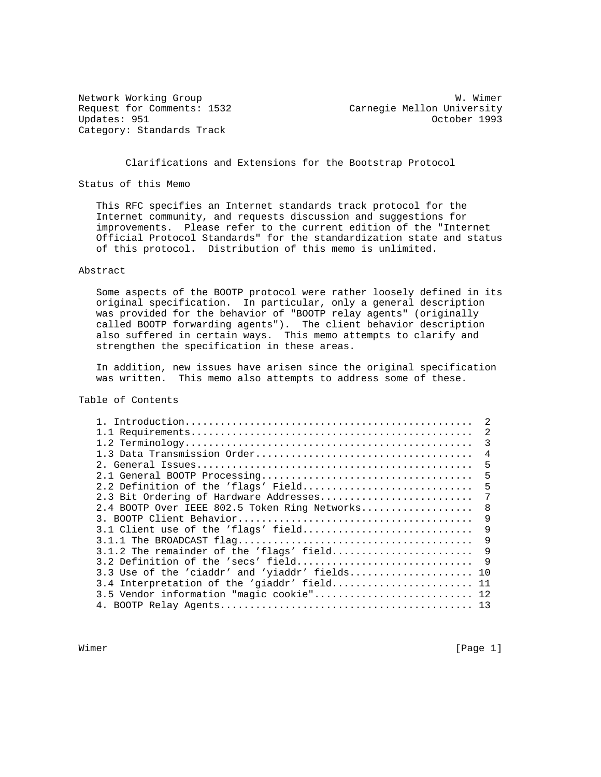Category: Standards Track

Network Working Group Website Communications and W. Wimer Request for Comments: 1532 Carnegie Mellon University<br>Updates: 951 0ctober 1993 October 1993

Clarifications and Extensions for the Bootstrap Protocol

Status of this Memo

 This RFC specifies an Internet standards track protocol for the Internet community, and requests discussion and suggestions for improvements. Please refer to the current edition of the "Internet Official Protocol Standards" for the standardization state and status of this protocol. Distribution of this memo is unlimited.

# Abstract

 Some aspects of the BOOTP protocol were rather loosely defined in its original specification. In particular, only a general description was provided for the behavior of "BOOTP relay agents" (originally called BOOTP forwarding agents"). The client behavior description also suffered in certain ways. This memo attempts to clarify and strengthen the specification in these areas.

 In addition, new issues have arisen since the original specification was written. This memo also attempts to address some of these.

# Table of Contents

|                                               | 2   |
|-----------------------------------------------|-----|
|                                               | 2   |
|                                               | 3   |
|                                               | 4   |
|                                               | 5   |
|                                               | 5   |
| 2.2 Definition of the 'flags' Field           | 5   |
| 2.3 Bit Ordering of Hardware Addresses        | 7   |
| 2.4 BOOTP Over IEEE 802.5 Token Ring Networks | 8   |
|                                               | 9   |
| 3.1 Client use of the 'flags' field           | 9   |
|                                               | 9   |
| 3.1.2 The remainder of the 'flags' field      | 9   |
| 3.2 Definition of the 'secs' field            | 9   |
| 3.3 Use of the 'ciaddr' and 'yiaddr' fields   | 10  |
| 3.4 Interpretation of the 'giaddr' field      | 11  |
| 3.5 Vendor information "magic cookie"         | 12. |
|                                               | 13  |
|                                               |     |

Wimer [Page 1]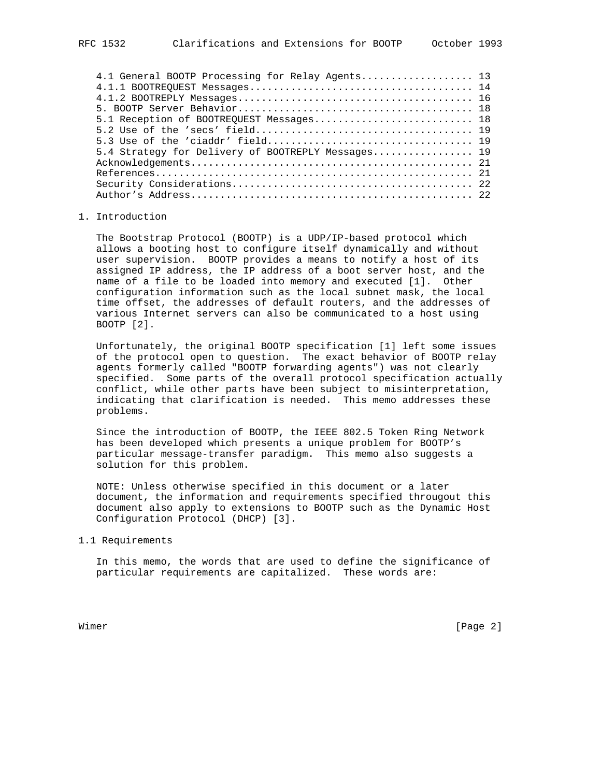| 4.1 General BOOTP Processing for Relay Agents 13   |  |
|----------------------------------------------------|--|
|                                                    |  |
|                                                    |  |
|                                                    |  |
| 5.1 Reception of BOOTREQUEST Messages 18           |  |
|                                                    |  |
|                                                    |  |
| 5.4 Strategy for Delivery of BOOTREPLY Messages 19 |  |
|                                                    |  |
|                                                    |  |
|                                                    |  |
|                                                    |  |
|                                                    |  |

# 1. Introduction

 The Bootstrap Protocol (BOOTP) is a UDP/IP-based protocol which allows a booting host to configure itself dynamically and without user supervision. BOOTP provides a means to notify a host of its assigned IP address, the IP address of a boot server host, and the name of a file to be loaded into memory and executed [1]. Other configuration information such as the local subnet mask, the local time offset, the addresses of default routers, and the addresses of various Internet servers can also be communicated to a host using BOOTP [2].

 Unfortunately, the original BOOTP specification [1] left some issues of the protocol open to question. The exact behavior of BOOTP relay agents formerly called "BOOTP forwarding agents") was not clearly specified. Some parts of the overall protocol specification actually conflict, while other parts have been subject to misinterpretation, indicating that clarification is needed. This memo addresses these problems.

 Since the introduction of BOOTP, the IEEE 802.5 Token Ring Network has been developed which presents a unique problem for BOOTP's particular message-transfer paradigm. This memo also suggests a solution for this problem.

 NOTE: Unless otherwise specified in this document or a later document, the information and requirements specified througout this document also apply to extensions to BOOTP such as the Dynamic Host Configuration Protocol (DHCP) [3].

#### 1.1 Requirements

 In this memo, the words that are used to define the significance of particular requirements are capitalized. These words are:

Wimer [Page 2]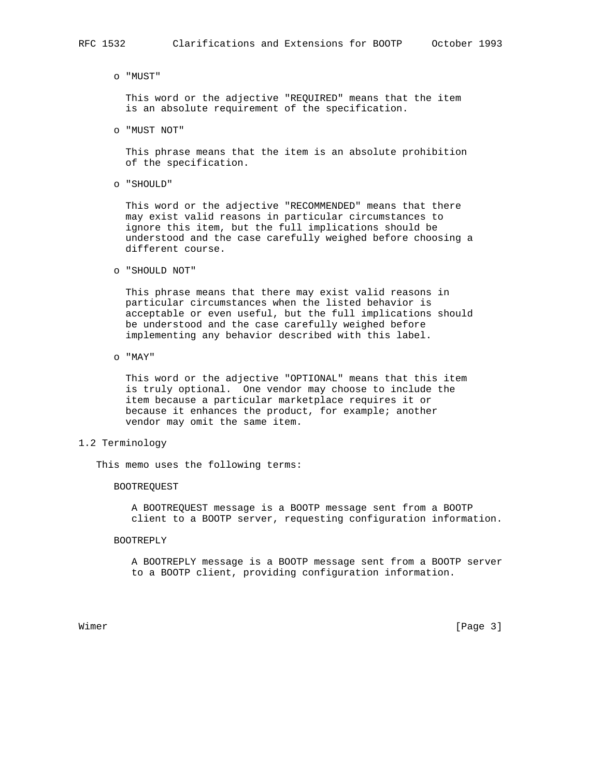#### o "MUST"

 This word or the adjective "REQUIRED" means that the item is an absolute requirement of the specification.

o "MUST NOT"

 This phrase means that the item is an absolute prohibition of the specification.

o "SHOULD"

 This word or the adjective "RECOMMENDED" means that there may exist valid reasons in particular circumstances to ignore this item, but the full implications should be understood and the case carefully weighed before choosing a different course.

o "SHOULD NOT"

 This phrase means that there may exist valid reasons in particular circumstances when the listed behavior is acceptable or even useful, but the full implications should be understood and the case carefully weighed before implementing any behavior described with this label.

o "MAY"

 This word or the adjective "OPTIONAL" means that this item is truly optional. One vendor may choose to include the item because a particular marketplace requires it or because it enhances the product, for example; another vendor may omit the same item.

# 1.2 Terminology

This memo uses the following terms:

## BOOTREQUEST

 A BOOTREQUEST message is a BOOTP message sent from a BOOTP client to a BOOTP server, requesting configuration information.

#### BOOTREPLY

 A BOOTREPLY message is a BOOTP message sent from a BOOTP server to a BOOTP client, providing configuration information.

Wimer [Page 3]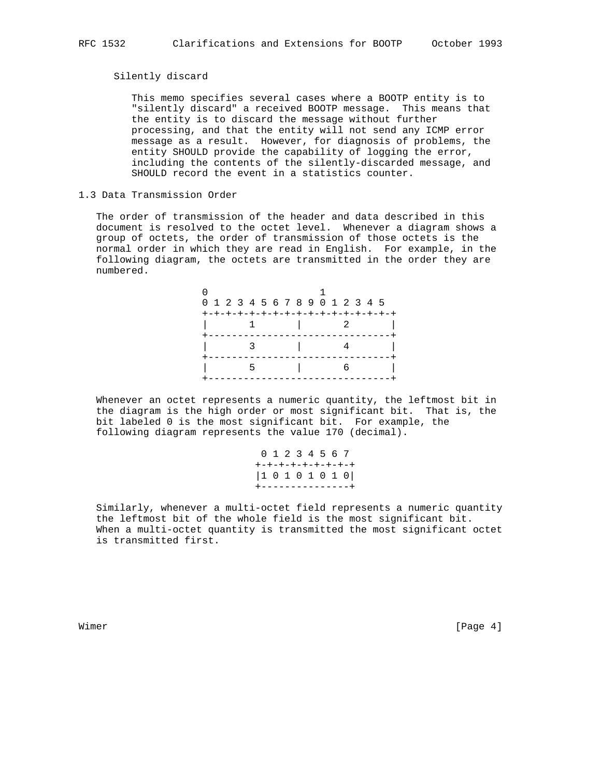## Silently discard

 This memo specifies several cases where a BOOTP entity is to "silently discard" a received BOOTP message. This means that the entity is to discard the message without further processing, and that the entity will not send any ICMP error message as a result. However, for diagnosis of problems, the entity SHOULD provide the capability of logging the error, including the contents of the silently-discarded message, and SHOULD record the event in a statistics counter.

# 1.3 Data Transmission Order

 The order of transmission of the header and data described in this document is resolved to the octet level. Whenever a diagram shows a group of octets, the order of transmission of those octets is the normal order in which they are read in English. For example, in the following diagram, the octets are transmitted in the order they are numbered.

| 0 1 2 3 4 5 6 7 8 9 0 1 2 3 4 5    |  |  |                     |  |  |  |  |  |
|------------------------------------|--|--|---------------------|--|--|--|--|--|
| +-+-+-+-+-+-+-+-+-+-+-+-+-+-+-+-+- |  |  |                     |  |  |  |  |  |
|                                    |  |  | $1 \quad 1 \quad 2$ |  |  |  |  |  |
|                                    |  |  |                     |  |  |  |  |  |
|                                    |  |  |                     |  |  |  |  |  |
|                                    |  |  |                     |  |  |  |  |  |
|                                    |  |  |                     |  |  |  |  |  |
|                                    |  |  |                     |  |  |  |  |  |

 Whenever an octet represents a numeric quantity, the leftmost bit in the diagram is the high order or most significant bit. That is, the bit labeled 0 is the most significant bit. For example, the following diagram represents the value 170 (decimal).

> 0 1 2 3 4 5 6 7 +-+-+-+-+-+-+-+-+ |1 0 1 0 1 0 1 0| +---------------+

 Similarly, whenever a multi-octet field represents a numeric quantity the leftmost bit of the whole field is the most significant bit. When a multi-octet quantity is transmitted the most significant octet is transmitted first.

Wimer [Page 4]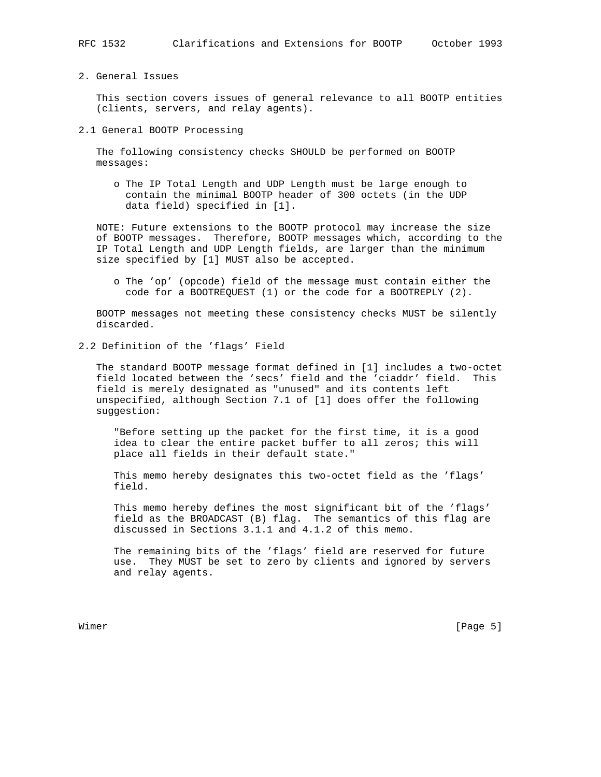2. General Issues

 This section covers issues of general relevance to all BOOTP entities (clients, servers, and relay agents).

2.1 General BOOTP Processing

 The following consistency checks SHOULD be performed on BOOTP messages:

 o The IP Total Length and UDP Length must be large enough to contain the minimal BOOTP header of 300 octets (in the UDP data field) specified in [1].

 NOTE: Future extensions to the BOOTP protocol may increase the size of BOOTP messages. Therefore, BOOTP messages which, according to the IP Total Length and UDP Length fields, are larger than the minimum size specified by [1] MUST also be accepted.

 o The 'op' (opcode) field of the message must contain either the code for a BOOTREQUEST (1) or the code for a BOOTREPLY (2).

 BOOTP messages not meeting these consistency checks MUST be silently discarded.

2.2 Definition of the 'flags' Field

 The standard BOOTP message format defined in [1] includes a two-octet field located between the 'secs' field and the 'ciaddr' field. This field is merely designated as "unused" and its contents left unspecified, although Section 7.1 of [1] does offer the following suggestion:

 "Before setting up the packet for the first time, it is a good idea to clear the entire packet buffer to all zeros; this will place all fields in their default state."

 This memo hereby designates this two-octet field as the 'flags' field.

 This memo hereby defines the most significant bit of the 'flags' field as the BROADCAST (B) flag. The semantics of this flag are discussed in Sections 3.1.1 and 4.1.2 of this memo.

 The remaining bits of the 'flags' field are reserved for future use. They MUST be set to zero by clients and ignored by servers and relay agents.

Wimer [Page 5]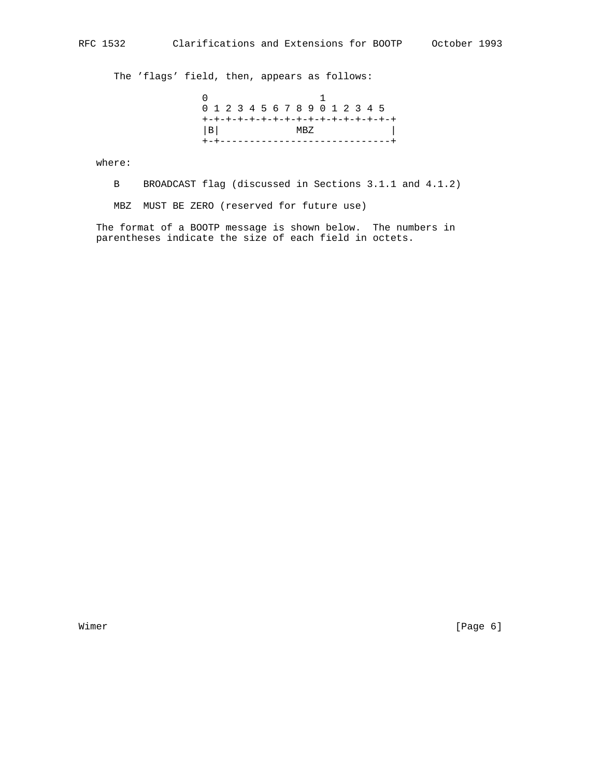The 'flags' field, then, appears as follows:

 0 1 0 1 2 3 4 5 6 7 8 9 0 1 2 3 4 5 +-+-+-+-+-+-+-+-+-+-+-+-+-+-+-+-+  $|B|$  MBZ  $|B|$ +-+-----------------------------+

where:

B BROADCAST flag (discussed in Sections 3.1.1 and 4.1.2)

MBZ MUST BE ZERO (reserved for future use)

 The format of a BOOTP message is shown below. The numbers in parentheses indicate the size of each field in octets.

Wimer [Page 6]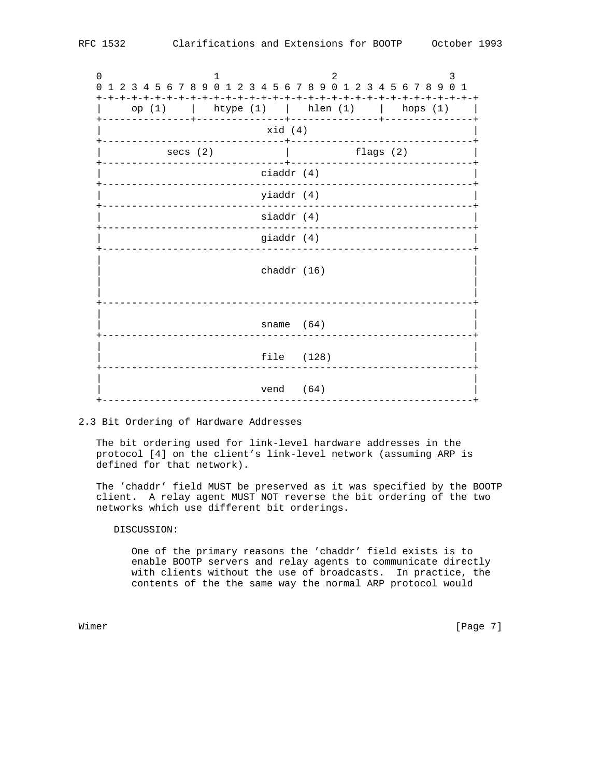0  $1$  2 3 0 1 2 3 4 5 6 7 8 9 0 1 2 3 4 5 6 7 8 9 0 1 2 3 4 5 6 7 8 9 0 1 +-+-+-+-+-+-+-+-+-+-+-+-+-+-+-+-+-+-+-+-+-+-+-+-+-+-+-+-+-+-+-+-+ | op (1) | htype (1) | hlen (1) | hops (1) | +---------------+---------------+---------------+---------------+ | xid (4) | +-------------------------------+-------------------------------+ secs (2)  $\qquad \qquad$  | flags (2) +-------------------------------+-------------------------------+ | ciaddr (4) | +---------------------------------------------------------------+ | yiaddr (4) | +---------------------------------------------------------------+ siaddr (4) +---------------------------------------------------------------+ giaddr (4) +---------------------------------------------------------------+ | | | chaddr (16) | | | | | +---------------------------------------------------------------+ | | sname (64) +---------------------------------------------------------------+ | | file (128) +---------------------------------------------------------------+ | | vend (64) +---------------------------------------------------------------+

# 2.3 Bit Ordering of Hardware Addresses

 The bit ordering used for link-level hardware addresses in the protocol [4] on the client's link-level network (assuming ARP is defined for that network).

 The 'chaddr' field MUST be preserved as it was specified by the BOOTP client. A relay agent MUST NOT reverse the bit ordering of the two networks which use different bit orderings.

# DISCUSSION:

 One of the primary reasons the 'chaddr' field exists is to enable BOOTP servers and relay agents to communicate directly with clients without the use of broadcasts. In practice, the contents of the the same way the normal ARP protocol would

Wimer [Page 7]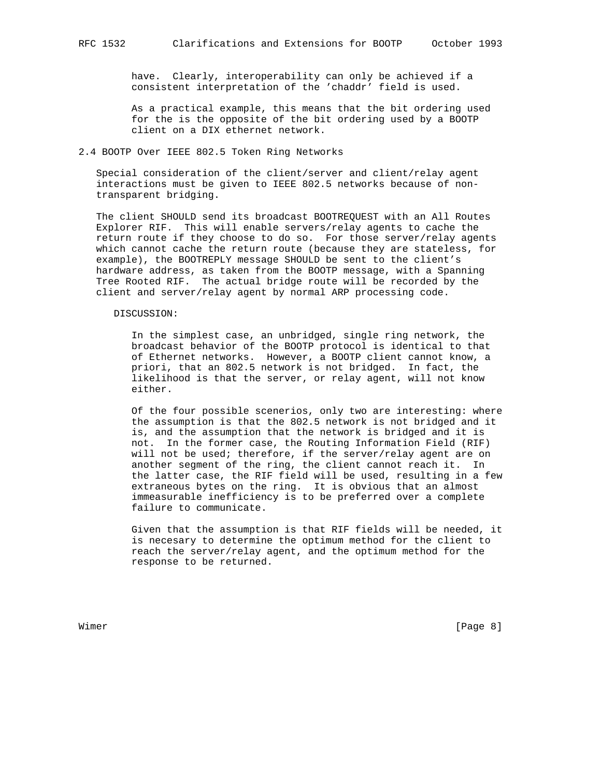have. Clearly, interoperability can only be achieved if a consistent interpretation of the 'chaddr' field is used.

 As a practical example, this means that the bit ordering used for the is the opposite of the bit ordering used by a BOOTP client on a DIX ethernet network.

## 2.4 BOOTP Over IEEE 802.5 Token Ring Networks

 Special consideration of the client/server and client/relay agent interactions must be given to IEEE 802.5 networks because of non transparent bridging.

 The client SHOULD send its broadcast BOOTREQUEST with an All Routes Explorer RIF. This will enable servers/relay agents to cache the return route if they choose to do so. For those server/relay agents which cannot cache the return route (because they are stateless, for example), the BOOTREPLY message SHOULD be sent to the client's hardware address, as taken from the BOOTP message, with a Spanning Tree Rooted RIF. The actual bridge route will be recorded by the client and server/relay agent by normal ARP processing code.

#### DISCUSSION:

 In the simplest case, an unbridged, single ring network, the broadcast behavior of the BOOTP protocol is identical to that of Ethernet networks. However, a BOOTP client cannot know, a priori, that an 802.5 network is not bridged. In fact, the likelihood is that the server, or relay agent, will not know either.

 Of the four possible scenerios, only two are interesting: where the assumption is that the 802.5 network is not bridged and it is, and the assumption that the network is bridged and it is not. In the former case, the Routing Information Field (RIF) will not be used; therefore, if the server/relay agent are on another segment of the ring, the client cannot reach it. In the latter case, the RIF field will be used, resulting in a few extraneous bytes on the ring. It is obvious that an almost immeasurable inefficiency is to be preferred over a complete failure to communicate.

 Given that the assumption is that RIF fields will be needed, it is necesary to determine the optimum method for the client to reach the server/relay agent, and the optimum method for the response to be returned.

Wimer [Page 8]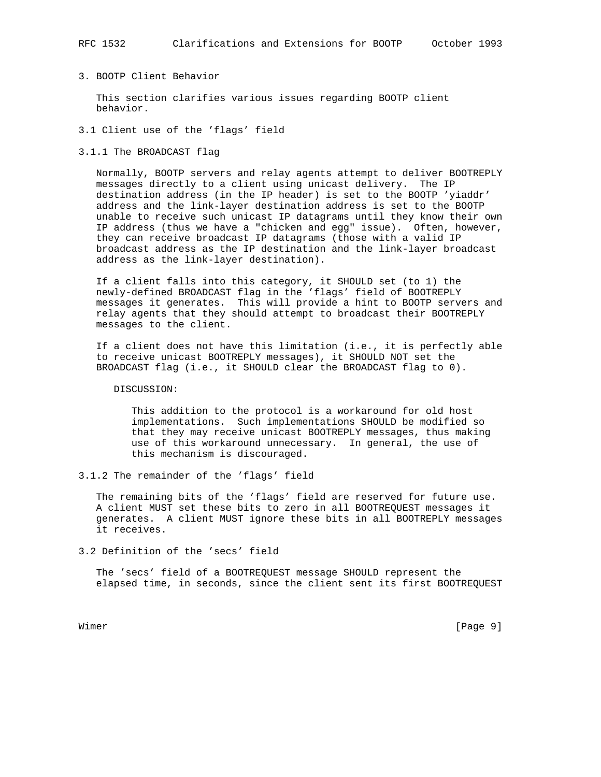# RFC 1532 Clarifications and Extensions for BOOTP October 1993

# 3. BOOTP Client Behavior

 This section clarifies various issues regarding BOOTP client behavior.

- 3.1 Client use of the 'flags' field
- 3.1.1 The BROADCAST flag

 Normally, BOOTP servers and relay agents attempt to deliver BOOTREPLY messages directly to a client using unicast delivery. The IP destination address (in the IP header) is set to the BOOTP 'yiaddr' address and the link-layer destination address is set to the BOOTP unable to receive such unicast IP datagrams until they know their own IP address (thus we have a "chicken and egg" issue). Often, however, they can receive broadcast IP datagrams (those with a valid IP broadcast address as the IP destination and the link-layer broadcast address as the link-layer destination).

 If a client falls into this category, it SHOULD set (to 1) the newly-defined BROADCAST flag in the 'flags' field of BOOTREPLY messages it generates. This will provide a hint to BOOTP servers and relay agents that they should attempt to broadcast their BOOTREPLY messages to the client.

 If a client does not have this limitation (i.e., it is perfectly able to receive unicast BOOTREPLY messages), it SHOULD NOT set the BROADCAST flag (i.e., it SHOULD clear the BROADCAST flag to 0).

DISCUSSION:

 This addition to the protocol is a workaround for old host implementations. Such implementations SHOULD be modified so that they may receive unicast BOOTREPLY messages, thus making use of this workaround unnecessary. In general, the use of this mechanism is discouraged.

3.1.2 The remainder of the 'flags' field

 The remaining bits of the 'flags' field are reserved for future use. A client MUST set these bits to zero in all BOOTREQUEST messages it generates. A client MUST ignore these bits in all BOOTREPLY messages it receives.

3.2 Definition of the 'secs' field

 The 'secs' field of a BOOTREQUEST message SHOULD represent the elapsed time, in seconds, since the client sent its first BOOTREQUEST

Wimer [Page 9]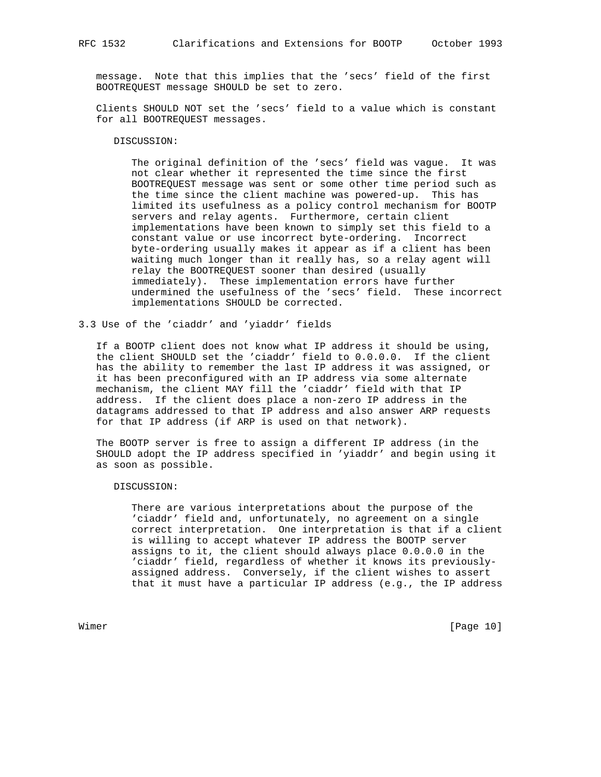message. Note that this implies that the 'secs' field of the first BOOTREQUEST message SHOULD be set to zero.

 Clients SHOULD NOT set the 'secs' field to a value which is constant for all BOOTREQUEST messages.

## DISCUSSION:

 The original definition of the 'secs' field was vague. It was not clear whether it represented the time since the first BOOTREQUEST message was sent or some other time period such as the time since the client machine was powered-up. This has limited its usefulness as a policy control mechanism for BOOTP servers and relay agents. Furthermore, certain client implementations have been known to simply set this field to a constant value or use incorrect byte-ordering. Incorrect byte-ordering usually makes it appear as if a client has been waiting much longer than it really has, so a relay agent will relay the BOOTREQUEST sooner than desired (usually immediately). These implementation errors have further undermined the usefulness of the 'secs' field. These incorrect implementations SHOULD be corrected.

3.3 Use of the 'ciaddr' and 'yiaddr' fields

 If a BOOTP client does not know what IP address it should be using, the client SHOULD set the 'ciaddr' field to 0.0.0.0. If the client has the ability to remember the last IP address it was assigned, or it has been preconfigured with an IP address via some alternate mechanism, the client MAY fill the 'ciaddr' field with that IP address. If the client does place a non-zero IP address in the datagrams addressed to that IP address and also answer ARP requests for that IP address (if ARP is used on that network).

 The BOOTP server is free to assign a different IP address (in the SHOULD adopt the IP address specified in 'yiaddr' and begin using it as soon as possible.

#### DISCUSSION:

 There are various interpretations about the purpose of the 'ciaddr' field and, unfortunately, no agreement on a single correct interpretation. One interpretation is that if a client is willing to accept whatever IP address the BOOTP server assigns to it, the client should always place 0.0.0.0 in the 'ciaddr' field, regardless of whether it knows its previously assigned address. Conversely, if the client wishes to assert that it must have a particular IP address (e.g., the IP address

Wimer [Page 10]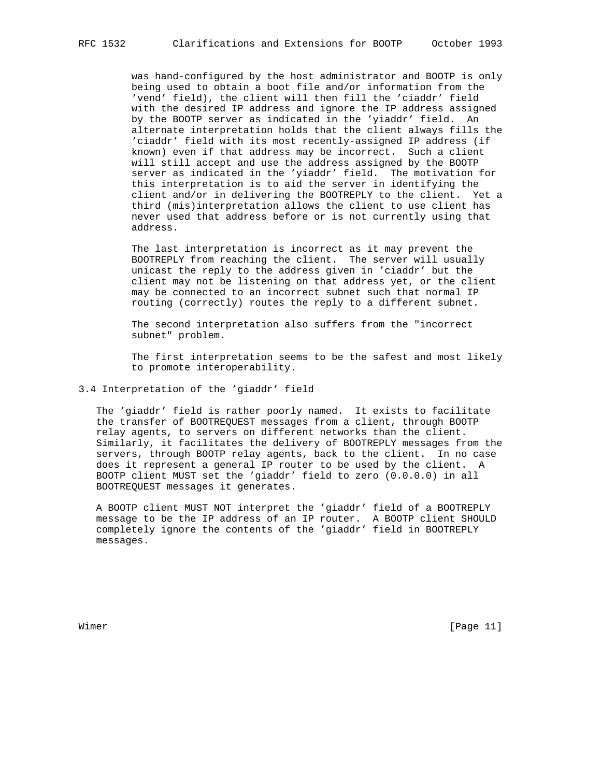was hand-configured by the host administrator and BOOTP is only being used to obtain a boot file and/or information from the 'vend' field), the client will then fill the 'ciaddr' field with the desired IP address and ignore the IP address assigned by the BOOTP server as indicated in the 'yiaddr' field. An alternate interpretation holds that the client always fills the 'ciaddr' field with its most recently-assigned IP address (if known) even if that address may be incorrect. Such a client will still accept and use the address assigned by the BOOTP server as indicated in the 'yiaddr' field. The motivation for this interpretation is to aid the server in identifying the client and/or in delivering the BOOTREPLY to the client. Yet a third (mis)interpretation allows the client to use client has never used that address before or is not currently using that address.

 The last interpretation is incorrect as it may prevent the BOOTREPLY from reaching the client. The server will usually unicast the reply to the address given in 'ciaddr' but the client may not be listening on that address yet, or the client may be connected to an incorrect subnet such that normal IP routing (correctly) routes the reply to a different subnet.

 The second interpretation also suffers from the "incorrect subnet" problem.

 The first interpretation seems to be the safest and most likely to promote interoperability.

## 3.4 Interpretation of the 'giaddr' field

 The 'giaddr' field is rather poorly named. It exists to facilitate the transfer of BOOTREQUEST messages from a client, through BOOTP relay agents, to servers on different networks than the client. Similarly, it facilitates the delivery of BOOTREPLY messages from the servers, through BOOTP relay agents, back to the client. In no case does it represent a general IP router to be used by the client. A BOOTP client MUST set the 'giaddr' field to zero (0.0.0.0) in all BOOTREQUEST messages it generates.

 A BOOTP client MUST NOT interpret the 'giaddr' field of a BOOTREPLY message to be the IP address of an IP router. A BOOTP client SHOULD completely ignore the contents of the 'giaddr' field in BOOTREPLY messages.

Wimer [Page 11]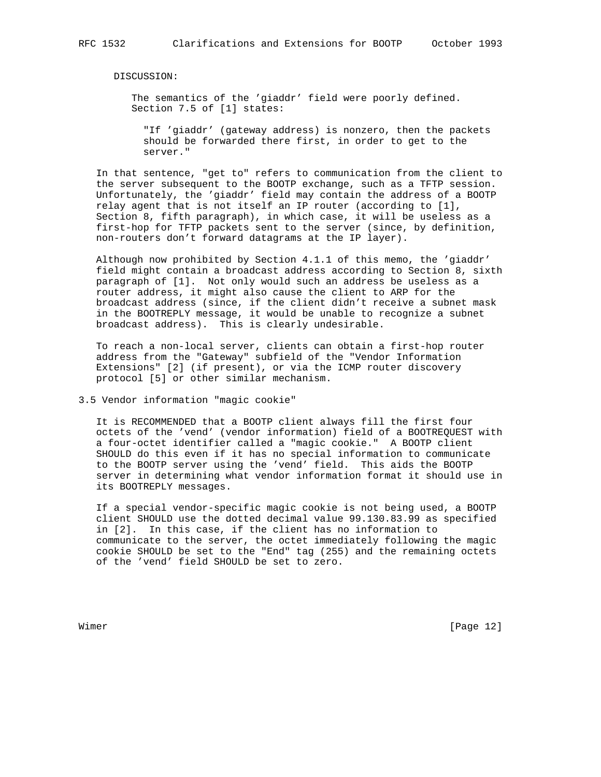DISCUSSION:

 The semantics of the 'giaddr' field were poorly defined. Section 7.5 of [1] states:

 "If 'giaddr' (gateway address) is nonzero, then the packets should be forwarded there first, in order to get to the server."

 In that sentence, "get to" refers to communication from the client to the server subsequent to the BOOTP exchange, such as a TFTP session. Unfortunately, the 'giaddr' field may contain the address of a BOOTP relay agent that is not itself an IP router (according to [1], Section 8, fifth paragraph), in which case, it will be useless as a first-hop for TFTP packets sent to the server (since, by definition, non-routers don't forward datagrams at the IP layer).

 Although now prohibited by Section 4.1.1 of this memo, the 'giaddr' field might contain a broadcast address according to Section 8, sixth paragraph of [1]. Not only would such an address be useless as a router address, it might also cause the client to ARP for the broadcast address (since, if the client didn't receive a subnet mask in the BOOTREPLY message, it would be unable to recognize a subnet broadcast address). This is clearly undesirable.

 To reach a non-local server, clients can obtain a first-hop router address from the "Gateway" subfield of the "Vendor Information Extensions" [2] (if present), or via the ICMP router discovery protocol [5] or other similar mechanism.

3.5 Vendor information "magic cookie"

 It is RECOMMENDED that a BOOTP client always fill the first four octets of the 'vend' (vendor information) field of a BOOTREQUEST with a four-octet identifier called a "magic cookie." A BOOTP client SHOULD do this even if it has no special information to communicate to the BOOTP server using the 'vend' field. This aids the BOOTP server in determining what vendor information format it should use in its BOOTREPLY messages.

 If a special vendor-specific magic cookie is not being used, a BOOTP client SHOULD use the dotted decimal value 99.130.83.99 as specified in [2]. In this case, if the client has no information to communicate to the server, the octet immediately following the magic cookie SHOULD be set to the "End" tag (255) and the remaining octets of the 'vend' field SHOULD be set to zero.

Wimer [Page 12]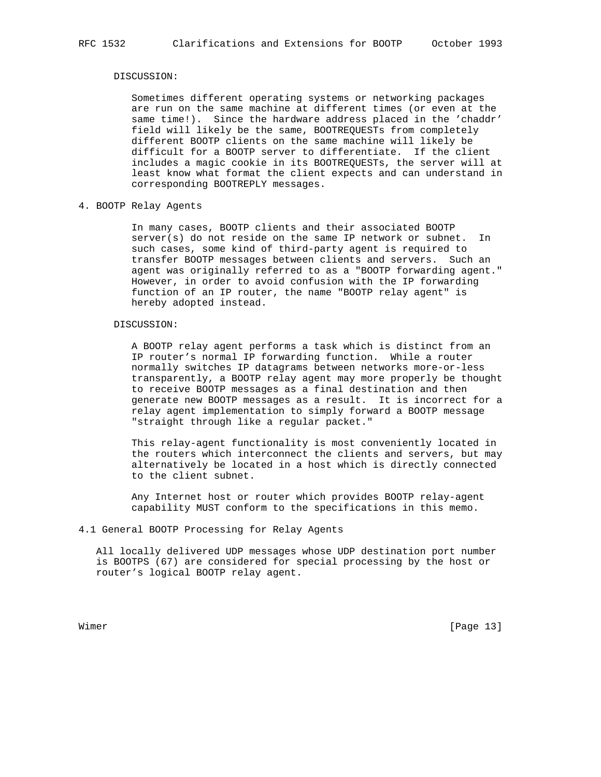#### DISCUSSION:

 Sometimes different operating systems or networking packages are run on the same machine at different times (or even at the same time!). Since the hardware address placed in the 'chaddr' field will likely be the same, BOOTREQUESTs from completely different BOOTP clients on the same machine will likely be difficult for a BOOTP server to differentiate. If the client includes a magic cookie in its BOOTREQUESTs, the server will at least know what format the client expects and can understand in corresponding BOOTREPLY messages.

# 4. BOOTP Relay Agents

 In many cases, BOOTP clients and their associated BOOTP server(s) do not reside on the same IP network or subnet. In such cases, some kind of third-party agent is required to transfer BOOTP messages between clients and servers. Such an agent was originally referred to as a "BOOTP forwarding agent." However, in order to avoid confusion with the IP forwarding function of an IP router, the name "BOOTP relay agent" is hereby adopted instead.

#### DISCUSSION:

 A BOOTP relay agent performs a task which is distinct from an IP router's normal IP forwarding function. While a router normally switches IP datagrams between networks more-or-less transparently, a BOOTP relay agent may more properly be thought to receive BOOTP messages as a final destination and then generate new BOOTP messages as a result. It is incorrect for a relay agent implementation to simply forward a BOOTP message "straight through like a regular packet."

 This relay-agent functionality is most conveniently located in the routers which interconnect the clients and servers, but may alternatively be located in a host which is directly connected to the client subnet.

 Any Internet host or router which provides BOOTP relay-agent capability MUST conform to the specifications in this memo.

# 4.1 General BOOTP Processing for Relay Agents

 All locally delivered UDP messages whose UDP destination port number is BOOTPS (67) are considered for special processing by the host or router's logical BOOTP relay agent.

Wimer [Page 13]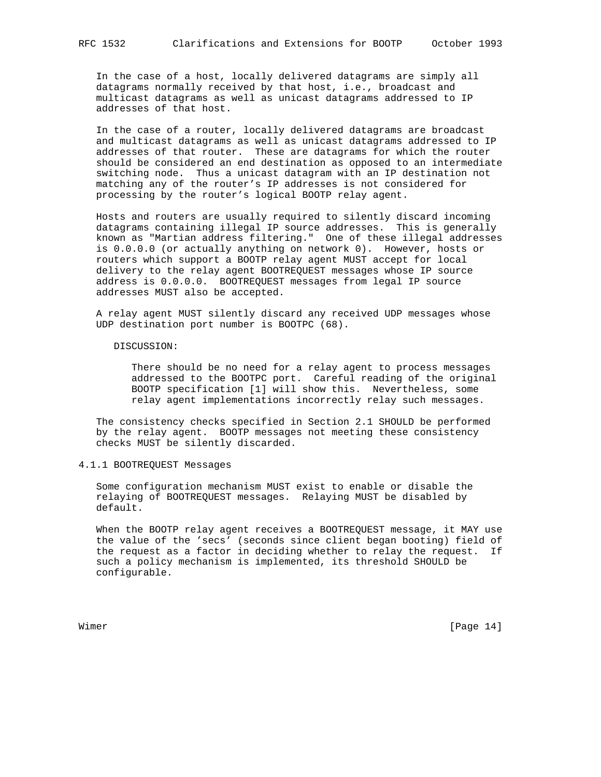In the case of a host, locally delivered datagrams are simply all datagrams normally received by that host, i.e., broadcast and multicast datagrams as well as unicast datagrams addressed to IP addresses of that host.

 In the case of a router, locally delivered datagrams are broadcast and multicast datagrams as well as unicast datagrams addressed to IP addresses of that router. These are datagrams for which the router should be considered an end destination as opposed to an intermediate switching node. Thus a unicast datagram with an IP destination not matching any of the router's IP addresses is not considered for processing by the router's logical BOOTP relay agent.

 Hosts and routers are usually required to silently discard incoming datagrams containing illegal IP source addresses. This is generally known as "Martian address filtering." One of these illegal addresses is 0.0.0.0 (or actually anything on network 0). However, hosts or routers which support a BOOTP relay agent MUST accept for local delivery to the relay agent BOOTREQUEST messages whose IP source address is 0.0.0.0. BOOTREQUEST messages from legal IP source addresses MUST also be accepted.

 A relay agent MUST silently discard any received UDP messages whose UDP destination port number is BOOTPC (68).

DISCUSSION:

 There should be no need for a relay agent to process messages addressed to the BOOTPC port. Careful reading of the original BOOTP specification [1] will show this. Nevertheless, some relay agent implementations incorrectly relay such messages.

 The consistency checks specified in Section 2.1 SHOULD be performed by the relay agent. BOOTP messages not meeting these consistency checks MUST be silently discarded.

4.1.1 BOOTREQUEST Messages

 Some configuration mechanism MUST exist to enable or disable the relaying of BOOTREQUEST messages. Relaying MUST be disabled by default.

 When the BOOTP relay agent receives a BOOTREQUEST message, it MAY use the value of the 'secs' (seconds since client began booting) field of the request as a factor in deciding whether to relay the request. If such a policy mechanism is implemented, its threshold SHOULD be configurable.

Wimer [Page 14]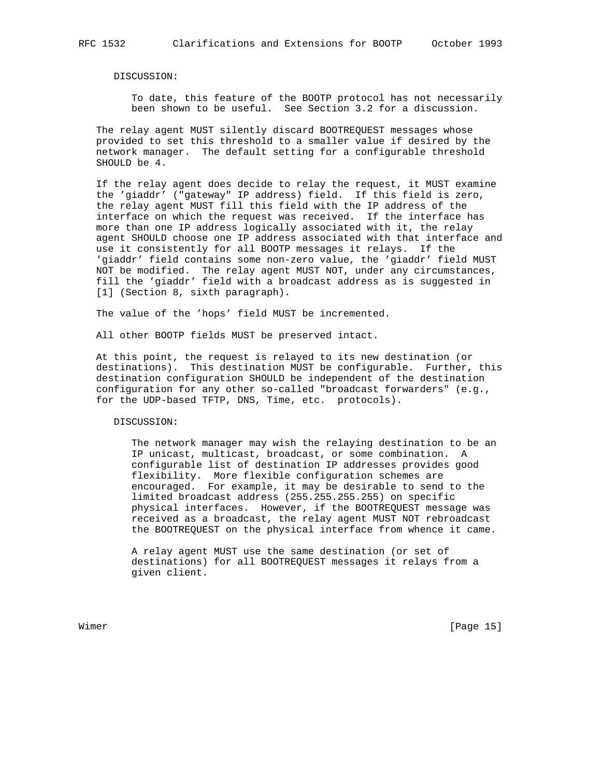DISCUSSION:

 To date, this feature of the BOOTP protocol has not necessarily been shown to be useful. See Section 3.2 for a discussion.

 The relay agent MUST silently discard BOOTREQUEST messages whose provided to set this threshold to a smaller value if desired by the network manager. The default setting for a configurable threshold SHOULD be 4.

 If the relay agent does decide to relay the request, it MUST examine the 'giaddr' ("gateway" IP address) field. If this field is zero, the relay agent MUST fill this field with the IP address of the interface on which the request was received. If the interface has more than one IP address logically associated with it, the relay agent SHOULD choose one IP address associated with that interface and use it consistently for all BOOTP messages it relays. If the 'giaddr' field contains some non-zero value, the 'giaddr' field MUST NOT be modified. The relay agent MUST NOT, under any circumstances, fill the 'giaddr' field with a broadcast address as is suggested in [1] (Section 8, sixth paragraph).

The value of the 'hops' field MUST be incremented.

All other BOOTP fields MUST be preserved intact.

 At this point, the request is relayed to its new destination (or destinations). This destination MUST be configurable. Further, this destination configuration SHOULD be independent of the destination configuration for any other so-called "broadcast forwarders" (e.g., for the UDP-based TFTP, DNS, Time, etc. protocols).

DISCUSSION:

 The network manager may wish the relaying destination to be an IP unicast, multicast, broadcast, or some combination. A configurable list of destination IP addresses provides good flexibility. More flexible configuration schemes are encouraged. For example, it may be desirable to send to the limited broadcast address (255.255.255.255) on specific physical interfaces. However, if the BOOTREQUEST message was received as a broadcast, the relay agent MUST NOT rebroadcast the BOOTREQUEST on the physical interface from whence it came.

 A relay agent MUST use the same destination (or set of destinations) for all BOOTREQUEST messages it relays from a given client.

Wimer [Page 15]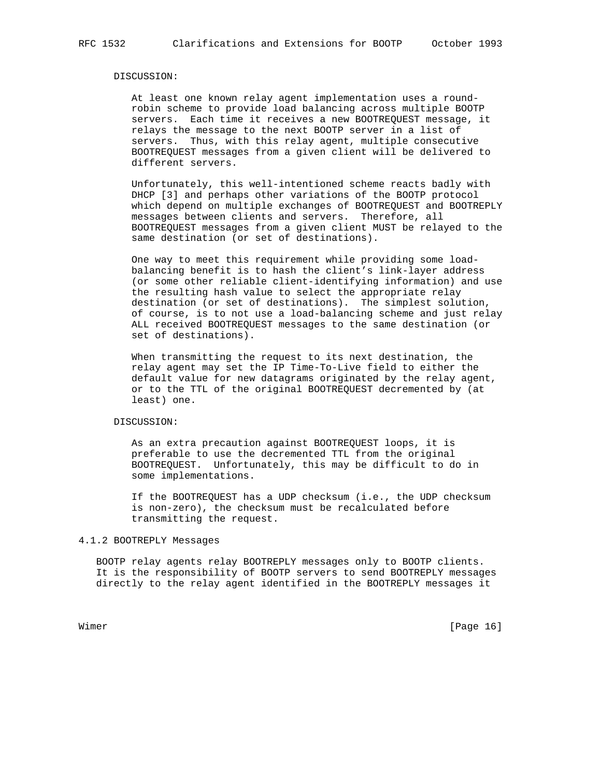#### DISCUSSION:

 At least one known relay agent implementation uses a round robin scheme to provide load balancing across multiple BOOTP servers. Each time it receives a new BOOTREQUEST message, it relays the message to the next BOOTP server in a list of servers. Thus, with this relay agent, multiple consecutive BOOTREQUEST messages from a given client will be delivered to different servers.

 Unfortunately, this well-intentioned scheme reacts badly with DHCP [3] and perhaps other variations of the BOOTP protocol which depend on multiple exchanges of BOOTREQUEST and BOOTREPLY messages between clients and servers. Therefore, all BOOTREQUEST messages from a given client MUST be relayed to the same destination (or set of destinations).

 One way to meet this requirement while providing some load balancing benefit is to hash the client's link-layer address (or some other reliable client-identifying information) and use the resulting hash value to select the appropriate relay destination (or set of destinations). The simplest solution, of course, is to not use a load-balancing scheme and just relay ALL received BOOTREQUEST messages to the same destination (or set of destinations).

 When transmitting the request to its next destination, the relay agent may set the IP Time-To-Live field to either the default value for new datagrams originated by the relay agent, or to the TTL of the original BOOTREQUEST decremented by (at least) one.

#### DISCUSSION:

 As an extra precaution against BOOTREQUEST loops, it is preferable to use the decremented TTL from the original BOOTREQUEST. Unfortunately, this may be difficult to do in some implementations.

 If the BOOTREQUEST has a UDP checksum (i.e., the UDP checksum is non-zero), the checksum must be recalculated before transmitting the request.

## 4.1.2 BOOTREPLY Messages

 BOOTP relay agents relay BOOTREPLY messages only to BOOTP clients. It is the responsibility of BOOTP servers to send BOOTREPLY messages directly to the relay agent identified in the BOOTREPLY messages it

Wimer [Page 16]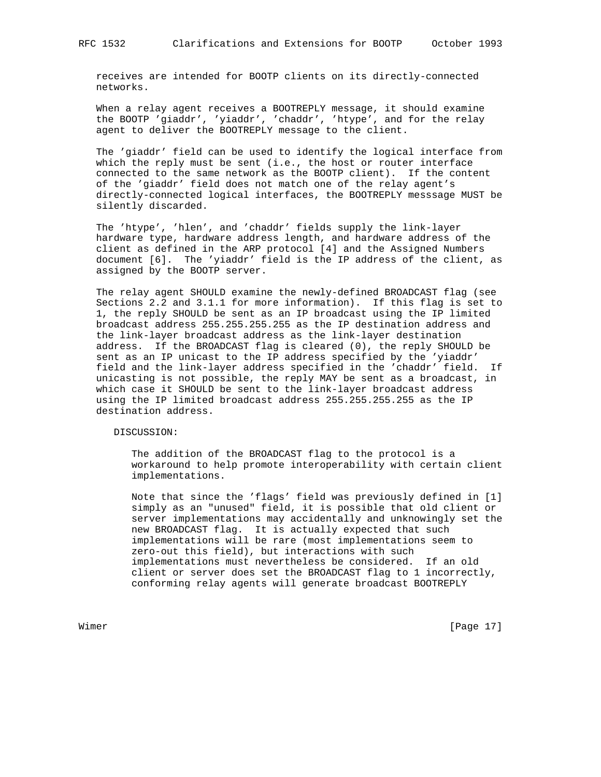receives are intended for BOOTP clients on its directly-connected networks.

 When a relay agent receives a BOOTREPLY message, it should examine the BOOTP 'giaddr', 'yiaddr', 'chaddr', 'htype', and for the relay agent to deliver the BOOTREPLY message to the client.

 The 'giaddr' field can be used to identify the logical interface from which the reply must be sent (i.e., the host or router interface connected to the same network as the BOOTP client). If the content of the 'giaddr' field does not match one of the relay agent's directly-connected logical interfaces, the BOOTREPLY messsage MUST be silently discarded.

 The 'htype', 'hlen', and 'chaddr' fields supply the link-layer hardware type, hardware address length, and hardware address of the client as defined in the ARP protocol [4] and the Assigned Numbers document [6]. The 'yiaddr' field is the IP address of the client, as assigned by the BOOTP server.

 The relay agent SHOULD examine the newly-defined BROADCAST flag (see Sections 2.2 and 3.1.1 for more information). If this flag is set to 1, the reply SHOULD be sent as an IP broadcast using the IP limited broadcast address 255.255.255.255 as the IP destination address and the link-layer broadcast address as the link-layer destination address. If the BROADCAST flag is cleared (0), the reply SHOULD be sent as an IP unicast to the IP address specified by the 'yiaddr' field and the link-layer address specified in the 'chaddr' field. If unicasting is not possible, the reply MAY be sent as a broadcast, in which case it SHOULD be sent to the link-layer broadcast address using the IP limited broadcast address 255.255.255.255 as the IP destination address.

DISCUSSION:

 The addition of the BROADCAST flag to the protocol is a workaround to help promote interoperability with certain client implementations.

 Note that since the 'flags' field was previously defined in [1] simply as an "unused" field, it is possible that old client or server implementations may accidentally and unknowingly set the new BROADCAST flag. It is actually expected that such implementations will be rare (most implementations seem to zero-out this field), but interactions with such implementations must nevertheless be considered. If an old client or server does set the BROADCAST flag to 1 incorrectly, conforming relay agents will generate broadcast BOOTREPLY

Wimer [Page 17]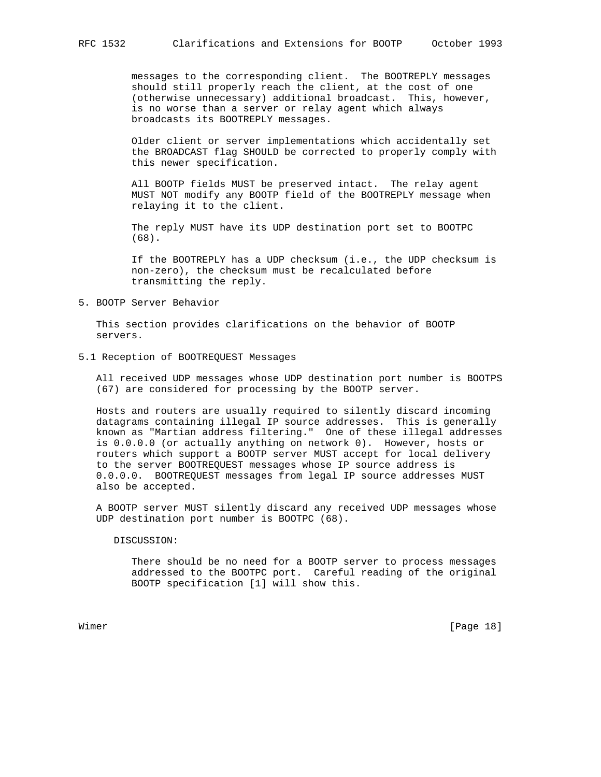messages to the corresponding client. The BOOTREPLY messages should still properly reach the client, at the cost of one (otherwise unnecessary) additional broadcast. This, however, is no worse than a server or relay agent which always broadcasts its BOOTREPLY messages.

 Older client or server implementations which accidentally set the BROADCAST flag SHOULD be corrected to properly comply with this newer specification.

 All BOOTP fields MUST be preserved intact. The relay agent MUST NOT modify any BOOTP field of the BOOTREPLY message when relaying it to the client.

 The reply MUST have its UDP destination port set to BOOTPC (68).

 If the BOOTREPLY has a UDP checksum (i.e., the UDP checksum is non-zero), the checksum must be recalculated before transmitting the reply.

# 5. BOOTP Server Behavior

 This section provides clarifications on the behavior of BOOTP servers.

## 5.1 Reception of BOOTREQUEST Messages

 All received UDP messages whose UDP destination port number is BOOTPS (67) are considered for processing by the BOOTP server.

 Hosts and routers are usually required to silently discard incoming datagrams containing illegal IP source addresses. This is generally known as "Martian address filtering." One of these illegal addresses is 0.0.0.0 (or actually anything on network 0). However, hosts or routers which support a BOOTP server MUST accept for local delivery to the server BOOTREQUEST messages whose IP source address is 0.0.0.0. BOOTREQUEST messages from legal IP source addresses MUST also be accepted.

 A BOOTP server MUST silently discard any received UDP messages whose UDP destination port number is BOOTPC (68).

#### DISCUSSION:

 There should be no need for a BOOTP server to process messages addressed to the BOOTPC port. Careful reading of the original BOOTP specification [1] will show this.

Wimer [Page 18]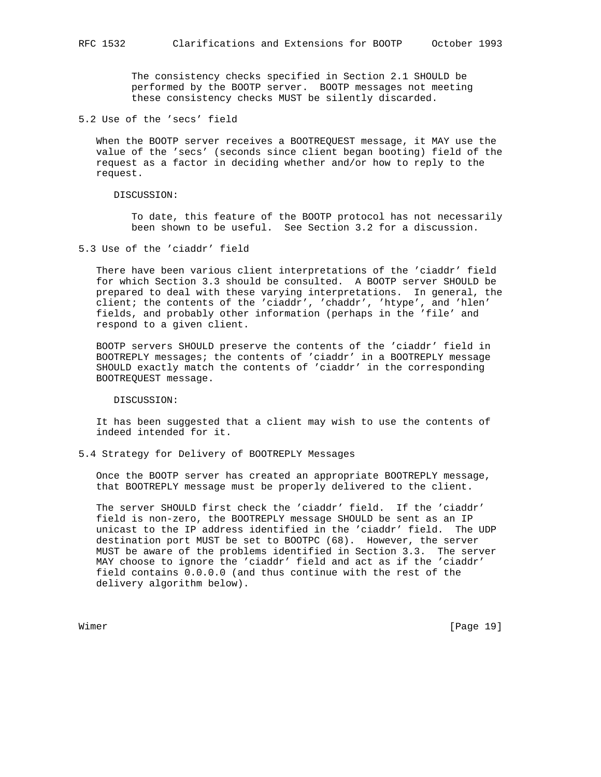The consistency checks specified in Section 2.1 SHOULD be performed by the BOOTP server. BOOTP messages not meeting these consistency checks MUST be silently discarded.

5.2 Use of the 'secs' field

 When the BOOTP server receives a BOOTREQUEST message, it MAY use the value of the 'secs' (seconds since client began booting) field of the request as a factor in deciding whether and/or how to reply to the request.

DISCUSSION:

 To date, this feature of the BOOTP protocol has not necessarily been shown to be useful. See Section 3.2 for a discussion.

5.3 Use of the 'ciaddr' field

 There have been various client interpretations of the 'ciaddr' field for which Section 3.3 should be consulted. A BOOTP server SHOULD be prepared to deal with these varying interpretations. In general, the client; the contents of the 'ciaddr', 'chaddr', 'htype', and 'hlen' fields, and probably other information (perhaps in the 'file' and respond to a given client.

 BOOTP servers SHOULD preserve the contents of the 'ciaddr' field in BOOTREPLY messages; the contents of 'ciaddr' in a BOOTREPLY message SHOULD exactly match the contents of 'ciaddr' in the corresponding BOOTREQUEST message.

DISCUSSION:

 It has been suggested that a client may wish to use the contents of indeed intended for it.

5.4 Strategy for Delivery of BOOTREPLY Messages

 Once the BOOTP server has created an appropriate BOOTREPLY message, that BOOTREPLY message must be properly delivered to the client.

 The server SHOULD first check the 'ciaddr' field. If the 'ciaddr' field is non-zero, the BOOTREPLY message SHOULD be sent as an IP unicast to the IP address identified in the 'ciaddr' field. The UDP destination port MUST be set to BOOTPC (68). However, the server MUST be aware of the problems identified in Section 3.3. The server MAY choose to ignore the 'ciaddr' field and act as if the 'ciaddr' field contains 0.0.0.0 (and thus continue with the rest of the delivery algorithm below).

Wimer [Page 19]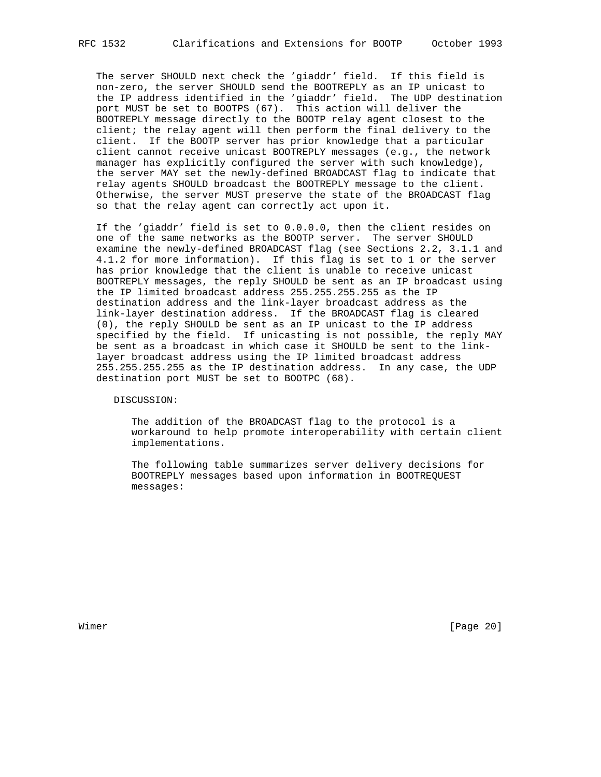The server SHOULD next check the 'giaddr' field. If this field is non-zero, the server SHOULD send the BOOTREPLY as an IP unicast to the IP address identified in the 'giaddr' field. The UDP destination port MUST be set to BOOTPS (67). This action will deliver the BOOTREPLY message directly to the BOOTP relay agent closest to the client; the relay agent will then perform the final delivery to the client. If the BOOTP server has prior knowledge that a particular client cannot receive unicast BOOTREPLY messages (e.g., the network manager has explicitly configured the server with such knowledge), the server MAY set the newly-defined BROADCAST flag to indicate that relay agents SHOULD broadcast the BOOTREPLY message to the client. Otherwise, the server MUST preserve the state of the BROADCAST flag so that the relay agent can correctly act upon it.

 If the 'giaddr' field is set to 0.0.0.0, then the client resides on one of the same networks as the BOOTP server. The server SHOULD examine the newly-defined BROADCAST flag (see Sections 2.2, 3.1.1 and 4.1.2 for more information). If this flag is set to 1 or the server has prior knowledge that the client is unable to receive unicast BOOTREPLY messages, the reply SHOULD be sent as an IP broadcast using the IP limited broadcast address 255.255.255.255 as the IP destination address and the link-layer broadcast address as the link-layer destination address. If the BROADCAST flag is cleared (0), the reply SHOULD be sent as an IP unicast to the IP address specified by the field. If unicasting is not possible, the reply MAY be sent as a broadcast in which case it SHOULD be sent to the link layer broadcast address using the IP limited broadcast address 255.255.255.255 as the IP destination address. In any case, the UDP destination port MUST be set to BOOTPC (68).

DISCUSSION:

 The addition of the BROADCAST flag to the protocol is a workaround to help promote interoperability with certain client implementations.

 The following table summarizes server delivery decisions for BOOTREPLY messages based upon information in BOOTREQUEST messages:

Wimer [Page 20]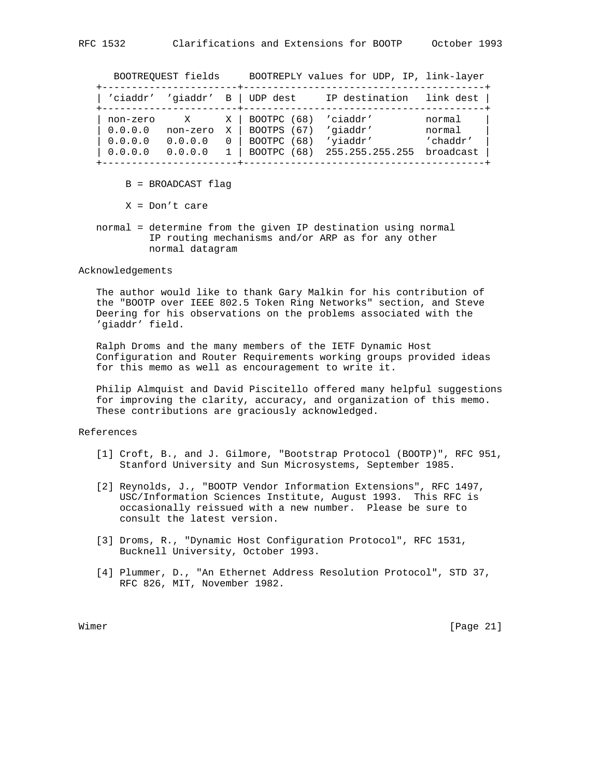BOOTREQUEST fields BOOTREPLY values for UDP, IP, link-layer

| 'ciaddr'                       | 'qiaddr'                 | В | UDP dest                                     | IP destination                   | link dest                    |
|--------------------------------|--------------------------|---|----------------------------------------------|----------------------------------|------------------------------|
| non-zero<br>0.0.0.0<br>0.0.0.0 | X<br>non-zero<br>0.0.0.0 | X | BOOTPC (68)<br>BOOTPS (67)<br>(68)<br>BOOTPC | 'ciaddr'<br>'qiaddr'<br>'yiaddr' | normal<br>normal<br>'chaddr' |
| 0.0.0.0                        | 0.0.0.0                  |   | BOOTPC<br>(68)                               | 255.255.255.255                  | broadcast                    |

B = BROADCAST flag

X = Don't care

 normal = determine from the given IP destination using normal IP routing mechanisms and/or ARP as for any other normal datagram

#### Acknowledgements

 The author would like to thank Gary Malkin for his contribution of the "BOOTP over IEEE 802.5 Token Ring Networks" section, and Steve Deering for his observations on the problems associated with the 'giaddr' field.

 Ralph Droms and the many members of the IETF Dynamic Host Configuration and Router Requirements working groups provided ideas for this memo as well as encouragement to write it.

 Philip Almquist and David Piscitello offered many helpful suggestions for improving the clarity, accuracy, and organization of this memo. These contributions are graciously acknowledged.

## References

- [1] Croft, B., and J. Gilmore, "Bootstrap Protocol (BOOTP)", RFC 951, Stanford University and Sun Microsystems, September 1985.
- [2] Reynolds, J., "BOOTP Vendor Information Extensions", RFC 1497, USC/Information Sciences Institute, August 1993. This RFC is occasionally reissued with a new number. Please be sure to consult the latest version.
- [3] Droms, R., "Dynamic Host Configuration Protocol", RFC 1531, Bucknell University, October 1993.
- [4] Plummer, D., "An Ethernet Address Resolution Protocol", STD 37, RFC 826, MIT, November 1982.

Wimer [Page 21]